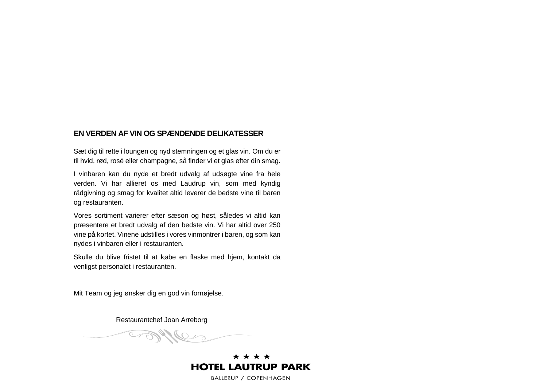#### **EN VERDEN AF VIN OG SPÆNDENDE DELIKATESSER**

Sæt dig til rette i loungen og nyd stemningen og et glas vin. Om du er til hvid, rød, rosé eller champagne, så finder vi et glas efter din smag.

I vinbaren kan du nyde et bredt udvalg af udsøgte vine fra hele verden. Vi har allieret os med Laudrup vin, som med kyndig rådgivning og smag for kvalitet altid leverer de bedste vine til baren og restauranten.

Vores sortiment varierer efter sæson og høst, således vi altid kan præsentere et bredt udvalg af den bedste vin. Vi har altid over 250 vine på kortet. Vinene udstilles i vores vinmontrer i baren, og som kan nydes i vinbaren eller i restauranten.

Skulle du blive fristet til at købe en flaske med hjem, kontakt da venligst personalet i restauranten.

Mit Team og jeg ønsker dig en god vin fornøjelse.

Restaurantchef Joan Arreborg

myles

\* \* \* \* **HOTEL LAUTRUP PARK**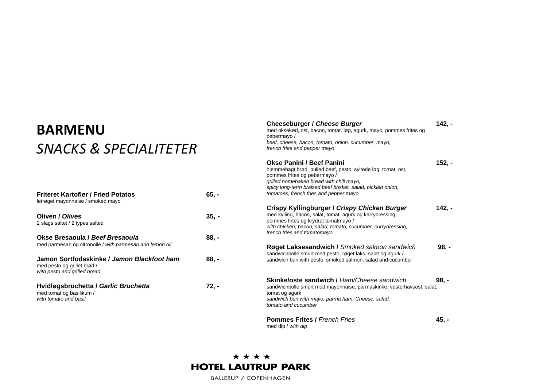## **BARMENU**  *SNACKS & SPECIALITETER*

| <b>Friteret Kartofler / Fried Potatos</b><br>letrøget mayonnaise / smoked mayo                            | 65. - |
|-----------------------------------------------------------------------------------------------------------|-------|
| Oliven / Olives<br>2 slags saltet / 2 types salted                                                        | 35. - |
| Okse Bresaoula / Beef Bresaoula<br>med parmesan og citronolie / with parmesan and lemon oil               | 88. - |
| Jamon Sortfodsskinke / Jamon Blackfoot ham<br>med pesto og grillet brød /<br>with pesto and grilled bread | 88. - |
| Hvidløgsbruchetta / Garlic Bruchetta<br>med tomat og basilikum /<br>with tomato and basil                 | 72. - |

| <b>Cheeseburger / Cheese Burger</b><br>med oksekød, ost, bacon, tomat, løg, agurk, mayo, pommes frites og<br>pebermayo/<br>beef, cheese, bacon, tomato, onion, cucumber, mayo,<br>french fries and pepper mayo                                                                  | $142, -$ |
|---------------------------------------------------------------------------------------------------------------------------------------------------------------------------------------------------------------------------------------------------------------------------------|----------|
| Okse Panini / Beef Panini<br>hjemmebagt brød, pulled beef, pesto, syltede løg, tomat, ost,<br>pommes frites og pebermayo /<br>grilled homebaked bread with chili mayo,<br>spicy long-term braised beef brisket, salad, pickled onion,<br>tomatoes, french fries and pepper mayo | $152, -$ |
| Crispy Kyllingburger / Crispy Chicken Burger<br>med kylling, bacon, salat, tomat, agurk og karrydressing,<br>pommes frites og krydret tomatmayo /<br>with chicken, bacon, salad, tomato, cucumber, currydressing,<br>french fries and tomatomayo                                | 142. -   |
| Røget Laksesandwich / Smoked salmon sandwich<br>sandwichbolle smurt med pesto, røget laks, salat og agurk /<br>sandwich bun with pesto, smoked salmon, salad and cucumber                                                                                                       | 98. -    |
| <b>Skinke/oste sandwich / Ham/Cheese sandwich</b><br>sandwichbolle smurt med mayonnaise, parmaskinke, vesterhavsost, salat,<br>tomat og agurk<br>sandwich bun with mayo, parma ham, Cheese, salad,<br>tomato and cucumber                                                       | 98. -    |
| <b>Pommes Frites / French Fries</b>                                                                                                                                                                                                                                             | 45. -    |

med dip / *with dip* 

## \*\*\*\* **HOTEL LAUTRUP PARK**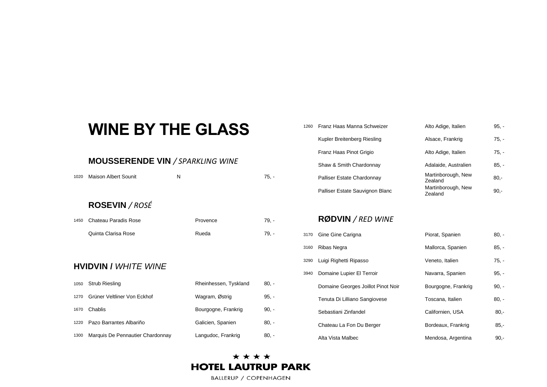# **WINE BY THE GLASS**

#### **MOUSSERENDE VIN** */ SPARKLING WINE*

| <b>Maison Albert Sounit</b> | N                     | 75, -   |
|-----------------------------|-----------------------|---------|
| <b>ROSEVIN / ROSÉ</b>       |                       |         |
| Chateau Paradis Rose        | Provence              | $79. -$ |
| Quinta Clarisa Rose         | Rueda                 | $79. -$ |
|                             |                       |         |
|                             |                       |         |
| <b>HVIDVIN / WHITE WINE</b> |                       |         |
| <b>Strub Riesling</b>       | Rheinhessen, Tyskland | $80, -$ |
| Grüner Veltliner Von Eckhof | Wagram, Østrig        | $95, -$ |
| Chablis                     | Bourgogne, Frankrig   | $90, -$ |
| Pazo Barrantes Albariño     | Galicien, Spanien     | $80, -$ |
|                             |                       |         |

| 1260 | Franz Haas Manna Schweizer      | Alto Adige, Italien           | $95. -$ |
|------|---------------------------------|-------------------------------|---------|
|      | Kupler Breitenberg Riesling     | Alsace, Frankrig              | $75. -$ |
|      | Franz Haas Pinot Grigio         | Alto Adige, Italien           | $75. -$ |
|      | Shaw & Smith Chardonnay         | Adalaide, Australien          | $85. -$ |
|      | Palliser Estate Chardonnay      | Martinborough, New<br>Zealand | $80 -$  |
|      | Palliser Estate Sauvignon Blanc | Martinborough, New<br>Zealand | $90 -$  |

#### **RØDVIN** */ RED WINE*

|      | 3170 Gine Gine Carigna             | Piorat, Spanien     | $80. -$ |
|------|------------------------------------|---------------------|---------|
| 3160 | Ribas Negra                        | Mallorca, Spanien   | $85, -$ |
| 3290 | Luigi Righetti Ripasso             | Veneto, Italien     | $75. -$ |
| 3940 | Domaine Lupier El Terroir          | Navarra, Spanien    | $95. -$ |
|      | Domaine Georges Joillot Pinot Noir | Bourgogne, Frankrig | $90, -$ |
|      | Tenuta Di Lilliano Sangiovese      | Toscana, Italien    | $80, -$ |
|      | Sebastiani Zinfandel               | Californien, USA    | $80. -$ |
|      | Chateau La Fon Du Berger           | Bordeaux, Frankrig  | 85.     |
|      | Alta Vista Malbec                  | Mendosa, Argentina  | 90.     |

| Gine Gine Carigna                  | Piorat, Spanien     | $80 -$  |
|------------------------------------|---------------------|---------|
| Ribas Negra                        | Mallorca, Spanien   | $85. -$ |
| Luigi Righetti Ripasso             | Veneto, Italien     | $75. -$ |
| Domaine Lupier El Terroir          | Navarra, Spanien    | $95. -$ |
| Domaine Georges Joillot Pinot Noir | Bourgogne, Frankrig | $90. -$ |
| Tenuta Di Lilliano Sangiovese      | Toscana, Italien    | $80, -$ |
| Sebastiani Zinfandel               | Californien, USA    | $80 -$  |
| Chateau La Fon Du Berger           | Bordeaux, Frankrig  | $85 -$  |
| Alta Vista Malbec                  | Mendosa, Argentina  | $90 -$  |

#### \* \* \* \* **HOTEL LAUTRUP PARK**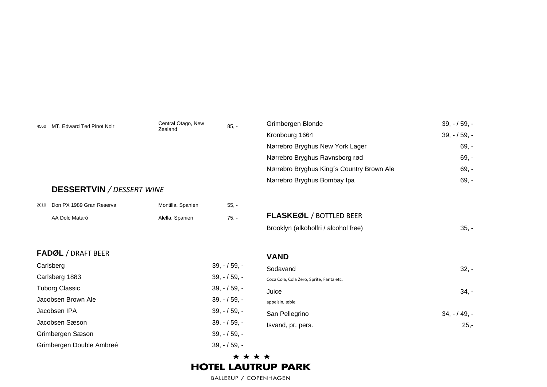| 4560 | MT. Edward Ted Pinot Noir        | Central Otago, New<br>Zealand | $85, -$       | Grimbergen Blonde<br>Kronbourg 1664<br>Nørrebro Bryghus New York Lager<br>Nørrebro Bryghus Ravnsborg rød | $39, -159, -$<br>$39, -159, -$<br>$69, -$<br>$69, -$ |
|------|----------------------------------|-------------------------------|---------------|----------------------------------------------------------------------------------------------------------|------------------------------------------------------|
|      |                                  |                               |               | Nørrebro Bryghus King's Country Brown Ale                                                                | $69, -$                                              |
|      | <b>DESSERTVIN / DESSERT WINE</b> |                               |               | Nørrebro Bryghus Bombay Ipa                                                                              | $69, -$                                              |
| 2010 | Don PX 1989 Gran Reserva         | Montilla, Spanien             | $55, -$       |                                                                                                          |                                                      |
|      | AA Dolc Mataró                   | Alella, Spanien               | $75, -$       | <b>FLASKEØL / BOTTLED BEER</b>                                                                           |                                                      |
|      |                                  |                               |               | Brooklyn (alkoholfri / alcohol free)                                                                     | $35. -$                                              |
|      | <b>FADØL / DRAFT BEER</b>        |                               |               | <b>VAND</b>                                                                                              |                                                      |
|      | Carlsberg                        |                               | $39, -159, -$ | Sodavand                                                                                                 | $32 -$                                               |
|      | Carlsberg 1883                   |                               | $39, -159, -$ | Coca Cola, Cola Zero, Sprite, Fanta etc.                                                                 |                                                      |
|      | <b>Tuborg Classic</b>            |                               | $39, -159, -$ | Juice                                                                                                    | $34. -$                                              |
|      | Jacobsen Brown Ale               |                               | $39, -159, -$ | appelsin, æble                                                                                           |                                                      |
|      | Jacobsen IPA                     |                               | $39, -159, -$ | San Pellegrino                                                                                           | $34, -149, -$                                        |
|      | Jacobsen Sæson                   |                               | $39, -159, -$ | Isvand, pr. pers.                                                                                        | $25 -$                                               |
|      | Grimbergen Sæson                 |                               | $39, -159, -$ |                                                                                                          |                                                      |
|      | Grimbergen Double Ambreé         |                               | $39, -159, -$ |                                                                                                          |                                                      |

#### \*\*\*\* **HOTEL LAUTRUP PARK**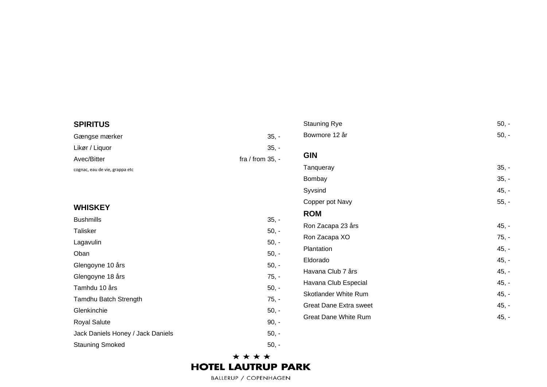#### **SPIRITUS** Gængse mærker  $35. -$ Likør / Liquor 35,  $35. -$ Avec/Bitter / from 35, cognac, eau de vie, grappa et c **WHISKEY Bushmills**  $35. -$ Talisker 50 , - Lagavulin , - Oban 50 , - Glengoyne 10 år  $s \hspace{2.5cm} 50$ , - Glengoyne 18 års  $75. -$ Tamhdu 10 års , - Tamdhu Batch Strength  $75. -$ Glenkinchie , - **Royal Salute**  $90, -$ Jack Daniels Honey / Jack Daniels 50 , - Stauning Smoked , - Stauning Rye , - Bowmore 12 år , - **GIN Tanqueray**  $35. -$ Bombay , - Syvsind  $45. -$ Copper pot Navy 55, - **ROM** Ron Zacapa 23 års  $45. -$ Ron Zacapa XO 75, - **Plantation**  $45. -$ Eldorado  $45. -$ Havana Club 7 års 7 års 45,  $45. -$ Havana Club Especial 45,  $45. -$ Skotlander White Rum  $45, -$ Great Dane Extra sweet  $45. -$ Great Dane White Rum  $45, -$

#### \* \* \* \* **HOTEL LAUTRUP PARK**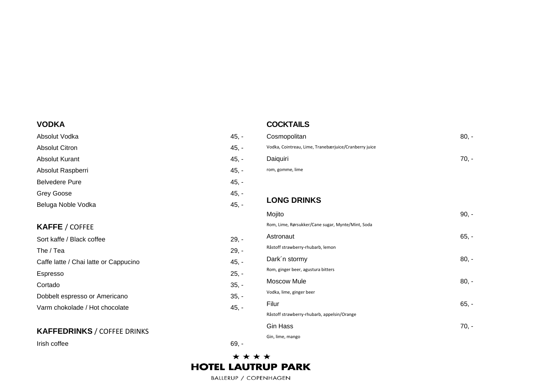#### **VODKA**

Absolut Vodka  $45, -$ Absolut Citron  $45. -$ **Absolut Kurant**  $45. -$ Absolut Raspberri  $45. -$ Belvedere Pure  $45. -$ Grey Goose  $45. -$ Beluga Noble Vodka  $45. -$ 

#### **KAFFE** / COFFEE

| Sort kaffe / Black coffee             | 29, |
|---------------------------------------|-----|
| The / Tea                             | 29, |
| Caffe latte / Chai latte or Cappucino | 45, |
| Espresso                              | 25, |
| Cortado                               | 35, |
| Dobbelt espresso or Americano         | 35, |
| Varm chokolade / Hot chocolate        | 45, |

#### **KAFFEDRINKS** / COFFEE DRINKS

Irish coffee

#### Cosmopolitan  $80. -$ Vodka, Cointreau, Lime, Tranebærjuice/Cranberry juice Daiquiri  $70.$ rom, gomme , lime **LONG DRINKS** Mojito 90,  $90. -$ Rom, Lime, Rørsukker/Cane sugar, Mynte/Mint, Soda Astronaut , - Råstoff strawberry -rhubarb, lemon Dark'n stormy  $80. -$ Rom, ginger beer, agustura bitters Moscow Mule 80, -

Filur 65

, -

70, -

#### \*\*\*\* **HOTEL LAUTRUP PARK**

 $29. -$ 

**COCKTAILS**

Vodka, lime, ginger beer

Gin Hass

Gin, lime, mango

Råstoff strawberry -rhubarb, appelsin/Orange

 $29. -$ 

 $45. -$ 

 $25. -$ 

 $35. -$ 

 $35, -$ 

 $45. -$ 

6 9 , -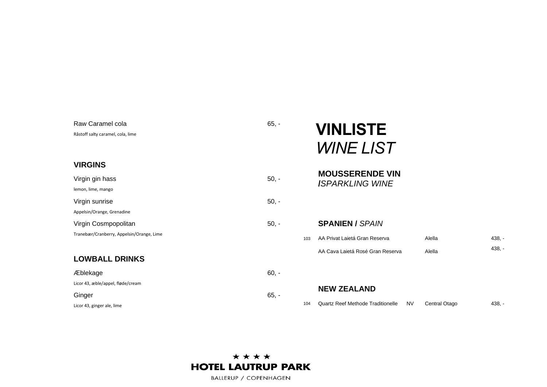| Raw Caramel cola<br>Råstoff salty caramel, cola, lime | $65, -$ |     | <b>VINLISTE</b><br><b>WINE LIST</b>                   |               |          |
|-------------------------------------------------------|---------|-----|-------------------------------------------------------|---------------|----------|
| <b>VIRGINS</b>                                        |         |     |                                                       |               |          |
| Virgin gin hass<br>lemon, lime, mango                 | $50, -$ |     | <b>MOUSSERENDE VIN</b><br><b>ISPARKLING WINE</b>      |               |          |
| Virgin sunrise                                        | $50, -$ |     |                                                       |               |          |
| Appelsin/Orange, Grenadine                            |         |     |                                                       |               |          |
| Virgin Cosmpopolitan                                  | $50, -$ |     | <b>SPANIEN / SPAIN</b>                                |               |          |
| Tranebær/Cranberry, Appelsin/Orange, Lime             |         | 103 | AA Privat Laietá Gran Reserva                         | Alella        | $438, -$ |
|                                                       |         |     | AA Cava Laietá Rosé Gran Reserva                      | Alella        | $438, -$ |
| <b>LOWBALL DRINKS</b>                                 |         |     |                                                       |               |          |
| Æblekage                                              | $60, -$ |     |                                                       |               |          |
| Licor 43, æble/appel, fløde/cream                     |         |     | <b>NEW ZEALAND</b>                                    |               |          |
| Ginger                                                | $65, -$ |     |                                                       |               |          |
| Licor 43, ginger ale, lime                            |         | 104 | <b>Quartz Reef Methode Traditionelle</b><br><b>NV</b> | Central Otago | $438, -$ |

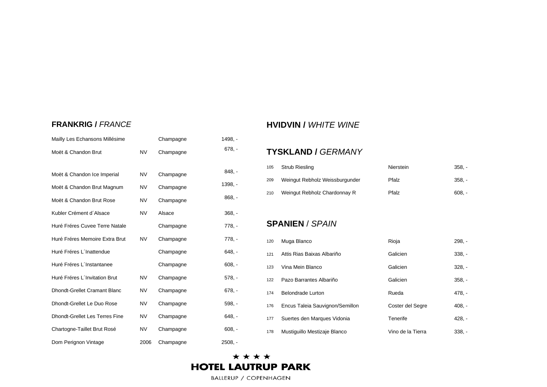#### **FRANKRIG /** *FRANCE*

| Mailly Les Echansons Millésime        |           | Champagne | $1498. -$ |
|---------------------------------------|-----------|-----------|-----------|
| Moët & Chandon Brut                   | <b>NV</b> | Champagne | $678. -$  |
| Moët & Chandon Ice Imperial           | <b>NV</b> | Champagne | $848. -$  |
| Moët & Chandon Brut Magnum            | <b>NV</b> | Champagne | $1398, -$ |
| Moët & Chandon Brut Rose              | <b>NV</b> | Champagne | $868, -$  |
| Kubler Crément d'Alsace               | <b>NV</b> | Alsace    | $368. -$  |
| Huré Fréres Cuvee Terre Natale        |           | Champagne | $778. -$  |
| Huré Fréres Memoire Extra Brut        | <b>NV</b> | Champagne | $778. -$  |
| Huré Fréres L'Inattendue              |           | Champagne | $648. -$  |
| Huré Fréres L'Instantanee             |           | Champagne | $608. -$  |
| Huré Fréres L'Invitation Brut         | <b>NV</b> | Champagne | $578. -$  |
| <b>Dhondt-Grellet Cramant Blanc</b>   | <b>NV</b> | Champagne | $678. -$  |
| Dhondt-Grellet Le Duo Rose            | <b>NV</b> | Champagne | $598. -$  |
| <b>Dhondt-Grellet Les Terres Fine</b> | <b>NV</b> | Champagne | $648, -$  |
| Chartogne-Taillet Brut Rosé           | <b>NV</b> | Champagne | $608, -$  |
| Dom Perignon Vintage                  | 2006      | Champagne | $2508. -$ |

#### **HVIDVIN /** *WHITE WINE*

#### **TYSKLAND /** *GERMANY*

| 105 | <b>Strub Riesling</b>          | Nierstein | $358. -$ |
|-----|--------------------------------|-----------|----------|
| 209 | Weingut Rebholz Weissburgunder | Pfalz     | $358. -$ |
| 210 | Weingut Rebholz Chardonnay R   | Pfalz     | 608. -   |

#### **SPANIEN** / *SPAIN*

| 120 | Muga Blanco                     | Rioja             | $298. -$ |
|-----|---------------------------------|-------------------|----------|
| 121 | Attis Rias Baixas Albariño      | Galicien          | $338. -$ |
| 123 | Vina Mein Blanco                | Galicien          | $328. -$ |
| 122 | Pazo Barrantes Albariño         | Galicien          | $358. -$ |
| 174 | <b>Belondrade Lurton</b>        | Rueda             | $478. -$ |
| 176 | Encus Taleia Sauvignon/Semillon | Coster del Segre  | $408. -$ |
| 177 | Suertes den Marques Vidonia     | Tenerife          | $428. -$ |
| 178 | Mustiquillo Mestizaje Blanco    | Vino de la Tierra | $338. -$ |

#### \*\*\*\* **HOTEL LAUTRUP PARK**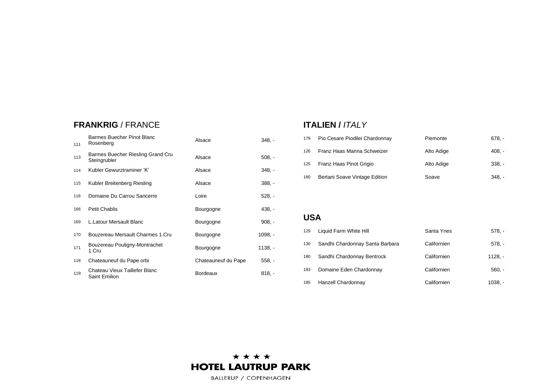#### **FRANKRIG** / FRANCE

| 111 | Barmes Buecher Pinot Blanc<br>Rosenberg           | Alsace              | $348. -$  |
|-----|---------------------------------------------------|---------------------|-----------|
| 113 | Barmes Buecher Riesling Grand Cru<br>Steingrubler | Alsace              | $508. -$  |
| 114 | Kubler Gewurztraminer 'K'                         | Alsace              | 348. -    |
| 115 | Kubler Breitenberg Riesling                       | Alsace              | $388, -$  |
| 116 | Domaine Du Carrou Sancerre                        | Loire               | $528. -$  |
| 166 | <b>Petit Chablis</b>                              | Bourgogne           | $438. -$  |
| 169 | L. Latour Mersault Blanc                          | Bourgogne           | $908, -$  |
| 170 | Bouzereau Mersault Charmes 1.Cru                  | Bourgogne           | $1098. -$ |
| 171 | Bouzereau Pouligny-Montrachet<br>1.Cru            | Bourgogne           | 1138. -   |
| 118 | Chateauneuf du Pape orbi                          | Chateauneuf du Pape | $558, -$  |
| 119 | Chateau Vieux Taillefer Blanc<br>Saint Emilion    | <b>Bordeaux</b>     | $818. -$  |

#### **ITALIEN /** *ITALY*

| 179 | Pio Cesare Piodilei Chardonnay | Piemonte   | 678. -   |
|-----|--------------------------------|------------|----------|
| 126 | Franz Haas Manna Schweizer     | Alto Adige | 408. -   |
| 125 | Franz Haas Pinot Grigio        | Alto Adige | $338. -$ |
| 180 | Bertani Soave Vintage Edition  | Soave      | 348. -   |

#### **USA**

| 129 | Liquid Farm White Hill          | Santa Ynes  | $578. -$  |
|-----|---------------------------------|-------------|-----------|
| 130 | Sandhi Chardonnay Santa Barbara | Californien | $578. -$  |
| 180 | Sandhi Chardonnay Bentrock      | Californien | $1128. -$ |
| 183 | Domaine Eden Chardonnay         | Californien | $560. -$  |
| 185 | Hanzell Chardonnay              | Californien | $1038. -$ |

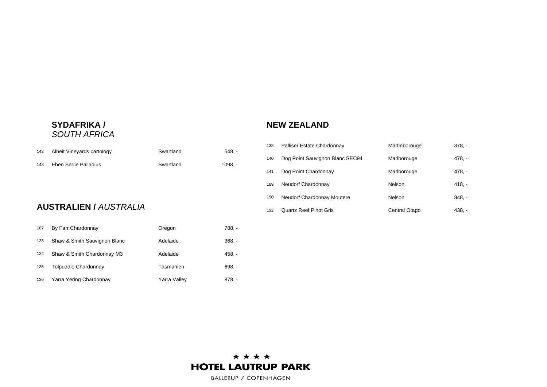#### **SYDAFRIKA /** *SOUTH AFRICA*

#### **NEW ZEALAND**

| 142 | Alheit Vineyards cartology | Swartland | $548. -$  |
|-----|----------------------------|-----------|-----------|
| 143 | Eben Sadie Palladius       | Swartland | $1098. -$ |
|     |                            |           |           |

#### **AUSTRALIEN /** *AUSTRALIA*

| 187 | By Farr Chardonnay           | Oregon       | 788. -   |
|-----|------------------------------|--------------|----------|
| 133 | Shaw & Smith Sauvignon Blanc | Adelaide     | $368. -$ |
| 134 | Shaw & Smith Chardonnay M3   | Adelaide     | $458. -$ |
| 135 | <b>Tolpuddle Chardonnay</b>  | Tasmanien    | $698. -$ |
| 136 | Yarra Yering Chardonnay      | Yarra Valley | 878. -   |

| 138 | Palliser Estate Chardonnay      | Martinborouge | $378. -$ |
|-----|---------------------------------|---------------|----------|
| 140 | Dog Point Sauvignon Blanc SEC94 | Marlborouge   | 478. -   |
| 141 | Dog Point Chardonnay            | Marlborouge   | 478. -   |
| 189 | Neudorf Chardonnay              | Nelson        | $418. -$ |
| 190 | Neudorf Chardonnay Moutere      | Nelson        | $848. -$ |
| 192 | <b>Quartz Reef Pinot Gris</b>   | Central Otago | 438. -   |

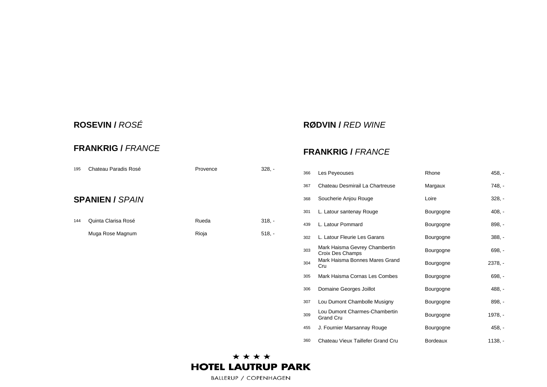#### **ROSEVIN /** *ROSÉ*

#### **RØDVIN /** *RED WINE*

#### **FRANKRIG /** *FRANCE*

| 195 | Chateau Paradis Rosé   | Provence | $328. -$ |
|-----|------------------------|----------|----------|
|     | <b>SPANIEN / SPAIN</b> |          |          |
| 144 | Quinta Clarisa Rosé    | Rueda    | $318. -$ |
|     | Muga Rose Magnum       | Rioja    | $518. -$ |

#### **FRANKRIG /** *FRANCE*

| 366 | Les Peyeouses                                     | Rhone           | $458, -$  |
|-----|---------------------------------------------------|-----------------|-----------|
| 367 | Chateau Desmirail La Chartreuse                   | Margaux         | 748, -    |
| 368 | Soucherie Anjou Rouge                             | Loire           | $328, -$  |
| 301 | L. Latour santenay Rouge                          | Bourgogne       | $408, -$  |
| 439 | L. Latour Pommard                                 | Bourgogne       | $898, -$  |
| 302 | L. Latour Fleurie Les Garans                      | Bourgogne       | $388, -$  |
| 303 | Mark Haisma Gevrey Chambertin<br>Croix Des Champs | Bourgogne       | $698, -$  |
| 304 | Mark Haisma Bonnes Mares Grand<br>Cru             | Bourgogne       | $2378, -$ |
| 305 | Mark Haisma Cornas Les Combes                     | Bourgogne       | $698, -$  |
| 306 | Domaine Georges Joillot                           | Bourgogne       | $488. -$  |
| 307 | Lou Dumont Chambolle Musigny                      | Bourgogne       | $898, -$  |
| 309 | Lou Dumont Charmes-Chambertin<br><b>Grand Cru</b> | Bourgogne       | 1978, -   |
| 455 | J. Fournier Marsannay Rouge                       | Bourgogne       | 458, -    |
| 360 | Chateau Vieux Taillefer Grand Cru                 | <b>Bordeaux</b> | $1138, -$ |

#### \*\*\*\* **HOTEL LAUTRUP PARK**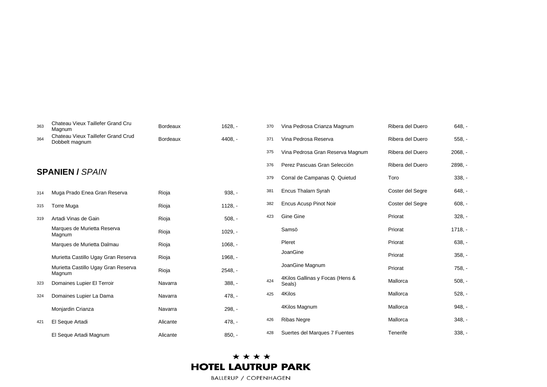| 363 | Chateau Vieux Taillefer Grand Cru<br>Magnum          | <b>Bordeaux</b> | $1628. -$ | 370 | Vina Pedrosa Crianza Magnum               | Ribera del Duero | $648, -$  |
|-----|------------------------------------------------------|-----------------|-----------|-----|-------------------------------------------|------------------|-----------|
| 364 | Chateau Vieux Taillefer Grand Crud<br>Dobbelt magnum | <b>Bordeaux</b> | 4408. -   | 371 | Vina Pedrosa Reserva                      | Ribera del Duero | $558, -$  |
|     |                                                      |                 |           | 375 | Vina Pedrosa Gran Reserva Magnum          | Ribera del Duero | $2068. -$ |
|     |                                                      |                 |           | 376 | Perez Pascuas Gran Selección              | Ribera del Duero | 2898, -   |
|     | <b>SPANIEN / SPAIN</b>                               |                 |           | 379 | Corral de Campanas Q. Quietud             | Toro             | $338, -$  |
| 314 | Muga Prado Enea Gran Reserva                         | Rioja           | $938. -$  | 381 | <b>Encus Thalarn Syrah</b>                | Coster del Segre | $648. -$  |
| 315 | Torre Muga                                           | Rioja           | $1128, -$ | 382 | Encus Acusp Pinot Noir                    | Coster del Segre | $608, -$  |
| 319 | Artadi Vinas de Gain                                 | Rioja           | $508. -$  | 423 | Gine Gine                                 | Priorat          | $328, -$  |
|     | Marques de Murietta Reserva<br>Magnum                | Rioja           | $1029. -$ |     | Samsö                                     | Priorat          | $1718, -$ |
|     | Marques de Murietta Dalmau                           | Rioja           | $1068, -$ |     | Pleret                                    | Priorat          | $638, -$  |
|     | Murietta Castillo Ugay Gran Reserva                  | Rioja           | 1968, -   |     | JoanGine                                  | Priorat          | $358, -$  |
|     | Murietta Castillo Ugay Gran Reserva<br>Magnum        | Rioja           | $2548. -$ |     | JoanGine Magnum                           | Priorat          | $758, -$  |
| 323 | Domaines Lupier El Terroir                           | Navarra         | $388. -$  | 424 | 4Kilos Gallinas y Focas (Hens &<br>Seals) | Mallorca         | $508, -$  |
| 324 | Domaines Lupier La Dama                              | Navarra         | $478, -$  | 425 | 4Kilos                                    | Mallorca         | $528. -$  |
|     | Monjardin Crianza                                    | Navarra         | $298, -$  |     | 4Kilos Magnum                             | Mallorca         | $948. -$  |
| 421 | El Seque Artadi                                      | Alicante        | $478, -$  | 426 | <b>Ribas Negre</b>                        | Mallorca         | $348, -$  |
|     | El Seque Artadi Magnum                               | Alicante        | $850, -$  | 428 | Suertes del Marques 7 Fuentes             | Tenerife         | $338. -$  |
|     |                                                      |                 |           |     |                                           |                  |           |

#### \*\*\*\* **HOTEL LAUTRUP PARK**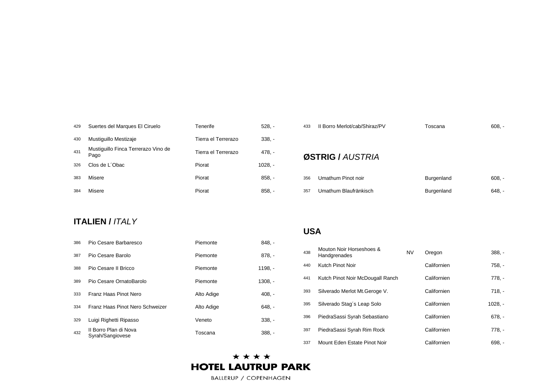| 429 | Suertes del Marques El Ciruelo              | Tenerife            | $528. -$  |
|-----|---------------------------------------------|---------------------|-----------|
| 430 | Mustiquillo Mestizaje                       | Tierra el Terrerazo | $338. -$  |
| 431 | Mustiquillo Finca Terrerazo Vino de<br>Pago | Tierra el Terrerazo | 478. -    |
| 326 | Clos de L'Obac                              | Piorat              | $1028. -$ |
| 383 | Misere                                      | Piorat              | $858. -$  |
| 384 | Misere                                      | Piorat              | $858. -$  |

| 433 | Il Borro Merlot/cab/Shiraz/PV | Toscana           | $608. -$ |
|-----|-------------------------------|-------------------|----------|
|     | ØSTRIG / AUSTRIA              |                   |          |
| 356 | Umathum Pinot noir            | Burgenland        | $608. -$ |
| 357 | Umathum Blaufränkisch         | <b>Burgenland</b> | 648. -   |

#### **ITALIEN /** *ITALY*

| 386 | Pio Cesare Barbaresco                     | Piemonte   | $848. -$  |
|-----|-------------------------------------------|------------|-----------|
| 387 | Pio Cesare Barolo                         | Piemonte   | $878, -$  |
| 388 | Pio Cesare II Bricco                      | Piemonte   | $1198, -$ |
| 389 | Pio Cesare OrnatoBarolo                   | Piemonte   | $1308. -$ |
| 333 | Franz Haas Pinot Nero                     | Alto Adige | $408. -$  |
| 334 | Franz Haas Pinot Nero Schweizer           | Alto Adige | 648. -    |
| 329 | Luigi Righetti Ripasso                    | Veneto     | $338. -$  |
| 432 | Il Borro Plan di Nova<br>Syrah/Sangiovese | Toscana    | $388. -$  |

#### **USA**

| 438 | Mouton Noir Horseshoes &<br>Handgrenades | NV | Oregon      | $388. -$  |
|-----|------------------------------------------|----|-------------|-----------|
| 440 | Kutch Pinot Noir                         |    | Californien | 758.      |
| 441 | Kutch Pinot Noir McDougall Ranch         |    | Californien | $778. -$  |
| 393 | Silverado Merlot Mt. Geroge V.           |    | Californien | $718. -$  |
| 395 | Silverado Stag's Leap Solo               |    | Californien | $1028, -$ |
| 396 | PiedraSassi Syrah Sebastiano             |    | Californien | $678. -$  |
| 397 | PiedraSassi Syrah Rim Rock               |    | Californien | $778. -$  |
| 337 | Mount Eden Estate Pinot Noir             |    | Californien | $698. -$  |

#### \*\*\*\* **HOTEL LAUTRUP PARK**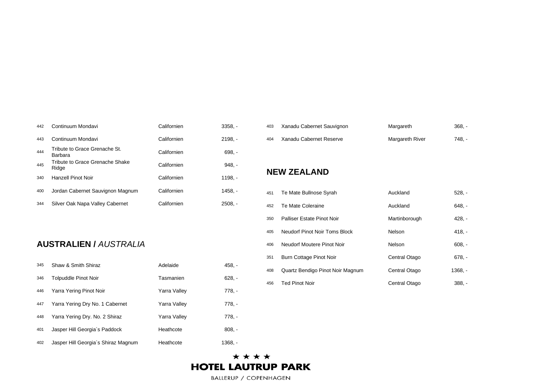| 442 | Continuum Mondavi                        | Californien | $3358. -$ |
|-----|------------------------------------------|-------------|-----------|
| 443 | Continuum Mondavi                        | Californien | $2198. -$ |
| 444 | Tribute to Grace Grenache St.<br>Barbara | Californien | $698. -$  |
| 445 | Tribute to Grace Grenache Shake<br>Ridge | Californien | $948. -$  |
| 340 | Hanzell Pinot Noir                       | Californien | 1198. -   |
| 400 | Jordan Cabernet Sauvignon Magnum         | Californien | 1458. -   |
| 344 | Silver Oak Napa Valley Cabernet          | Californien | 2508. -   |

#### **AUSTRALIEN /** *AUSTRALIA*

| 345 | Shaw & Smith Shiraz                 | Adelaide     | $458. -$ |
|-----|-------------------------------------|--------------|----------|
| 346 | <b>Tolpuddle Pinot Noir</b>         | Tasmanien    | $628. -$ |
| 446 | Yarra Yering Pinot Noir             | Yarra Valley | 778. -   |
| 447 | Yarra Yering Dry No. 1 Cabernet     | Yarra Valley | 778. -   |
| 448 | Yarra Yering Dry. No. 2 Shiraz      | Yarra Valley | 778. -   |
| 401 | Jasper Hill Georgia's Paddock       | Heathcote    | $808. -$ |
| 402 | Jasper Hill Georgia's Shiraz Magnum | Heathcote    | 1368. -  |

| 403 | Xanadu Cabernet Sauvignon | Margareth              | $368. -$ |
|-----|---------------------------|------------------------|----------|
| 404 | Xanadu Cabernet Reserve   | <b>Margareth River</b> | 748. -   |

#### **NEW ZEALAND**

| 451 | Te Mate Bullnose Syrah           | Auckland      | $528. -$  |
|-----|----------------------------------|---------------|-----------|
| 452 | Te Mate Coleraine                | Auckland      | $648. -$  |
| 350 | Palliser Estate Pinot Noir       | Martinborough | $428. -$  |
| 405 | Neudorf Pinot Noir Toms Block    | Nelson        | $418. -$  |
| 406 | Neudorf Moutere Pinot Noir       | Nelson        | $608. -$  |
| 351 | Burn Cottage Pinot Noir          | Central Otago | $678. -$  |
| 408 | Quartz Bendigo Pinot Noir Magnum | Central Otago | $1368. -$ |
| 456 | <b>Ted Pinot Noir</b>            | Central Otago | $388. -$  |

#### \*\*\*\* **HOTEL LAUTRUP PARK**